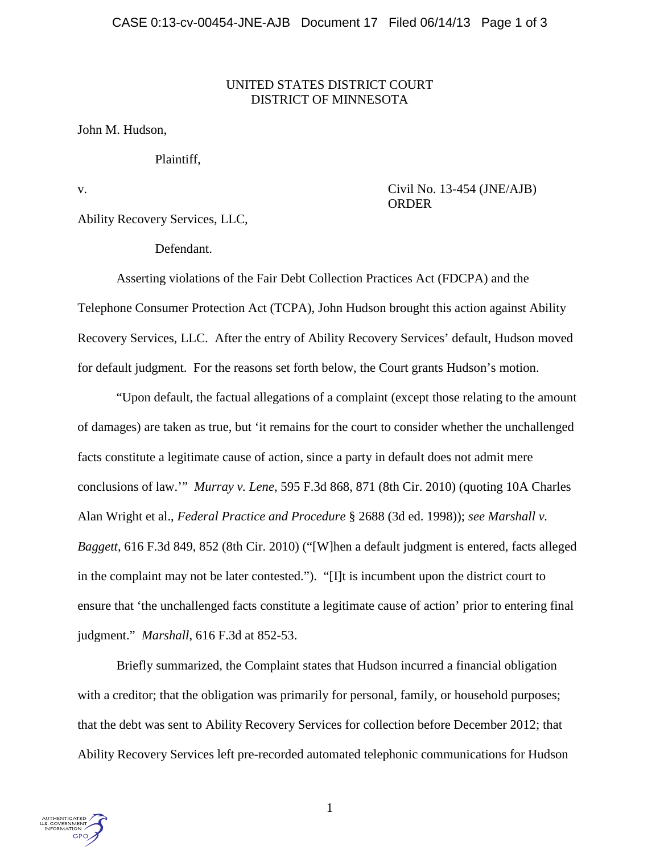## UNITED STATES DISTRICT COURT DISTRICT OF MINNESOTA

### John M. Hudson,

### Plaintiff,

## v. Civil No. 13-454 (JNE/AJB) ORDER

Ability Recovery Services, LLC,

Defendant.

Asserting violations of the Fair Debt Collection Practices Act (FDCPA) and the Telephone Consumer Protection Act (TCPA), John Hudson brought this action against Ability Recovery Services, LLC. After the entry of Ability Recovery Services' default, Hudson moved for default judgment. For the reasons set forth below, the Court grants Hudson's motion.

"Upon default, the factual allegations of a complaint (except those relating to the amount of damages) are taken as true, but 'it remains for the court to consider whether the unchallenged facts constitute a legitimate cause of action, since a party in default does not admit mere conclusions of law.'" *Murray v. Lene*, 595 F.3d 868, 871 (8th Cir. 2010) (quoting 10A Charles Alan Wright et al., *Federal Practice and Procedure* § 2688 (3d ed. 1998)); *see Marshall v. Baggett*, 616 F.3d 849, 852 (8th Cir. 2010) ("[W]hen a default judgment is entered, facts alleged in the complaint may not be later contested."). "[I]t is incumbent upon the district court to ensure that 'the unchallenged facts constitute a legitimate cause of action' prior to entering final judgment." *Marshall*, 616 F.3d at 852-53.

Briefly summarized, the Complaint states that Hudson incurred a financial obligation with a creditor; that the obligation was primarily for personal, family, or household purposes; that the debt was sent to Ability Recovery Services for collection before December 2012; that Ability Recovery Services left pre-recorded automated telephonic communications for Hudson

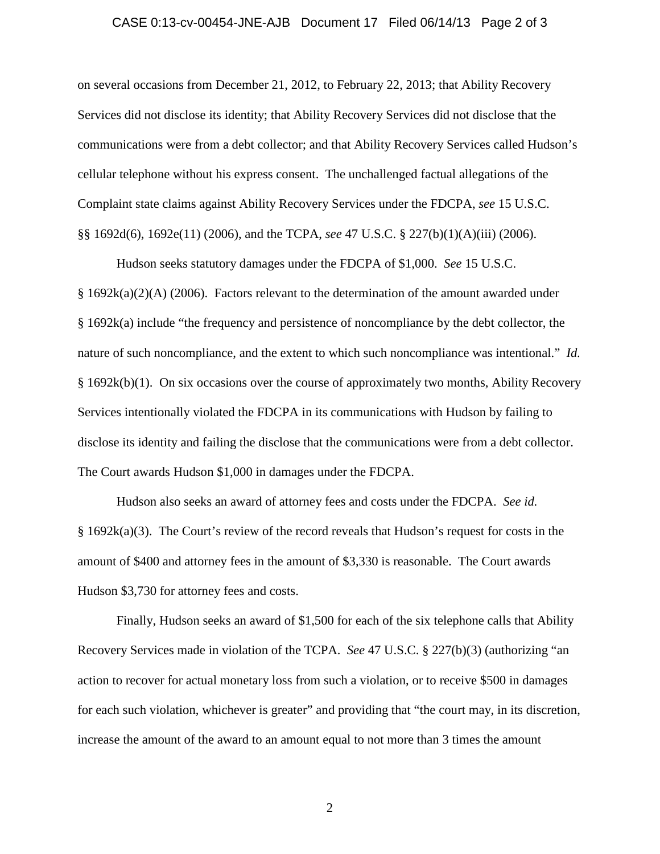#### CASE 0:13-cv-00454-JNE-AJB Document 17 Filed 06/14/13 Page 2 of 3

on several occasions from December 21, 2012, to February 22, 2013; that Ability Recovery Services did not disclose its identity; that Ability Recovery Services did not disclose that the communications were from a debt collector; and that Ability Recovery Services called Hudson's cellular telephone without his express consent. The unchallenged factual allegations of the Complaint state claims against Ability Recovery Services under the FDCPA, *see* 15 U.S.C. §§ 1692d(6), 1692e(11) (2006), and the TCPA, *see* 47 U.S.C. § 227(b)(1)(A)(iii) (2006).

Hudson seeks statutory damages under the FDCPA of \$1,000. *See* 15 U.S.C. § 1692k(a)(2)(A) (2006). Factors relevant to the determination of the amount awarded under § 1692k(a) include "the frequency and persistence of noncompliance by the debt collector, the nature of such noncompliance, and the extent to which such noncompliance was intentional." *Id.* § 1692k(b)(1). On six occasions over the course of approximately two months, Ability Recovery Services intentionally violated the FDCPA in its communications with Hudson by failing to disclose its identity and failing the disclose that the communications were from a debt collector. The Court awards Hudson \$1,000 in damages under the FDCPA.

Hudson also seeks an award of attorney fees and costs under the FDCPA. *See id.* § 1692k(a)(3). The Court's review of the record reveals that Hudson's request for costs in the amount of \$400 and attorney fees in the amount of \$3,330 is reasonable. The Court awards Hudson \$3,730 for attorney fees and costs.

Finally, Hudson seeks an award of \$1,500 for each of the six telephone calls that Ability Recovery Services made in violation of the TCPA. *See* 47 U.S.C. § 227(b)(3) (authorizing "an action to recover for actual monetary loss from such a violation, or to receive \$500 in damages for each such violation, whichever is greater" and providing that "the court may, in its discretion, increase the amount of the award to an amount equal to not more than 3 times the amount

2